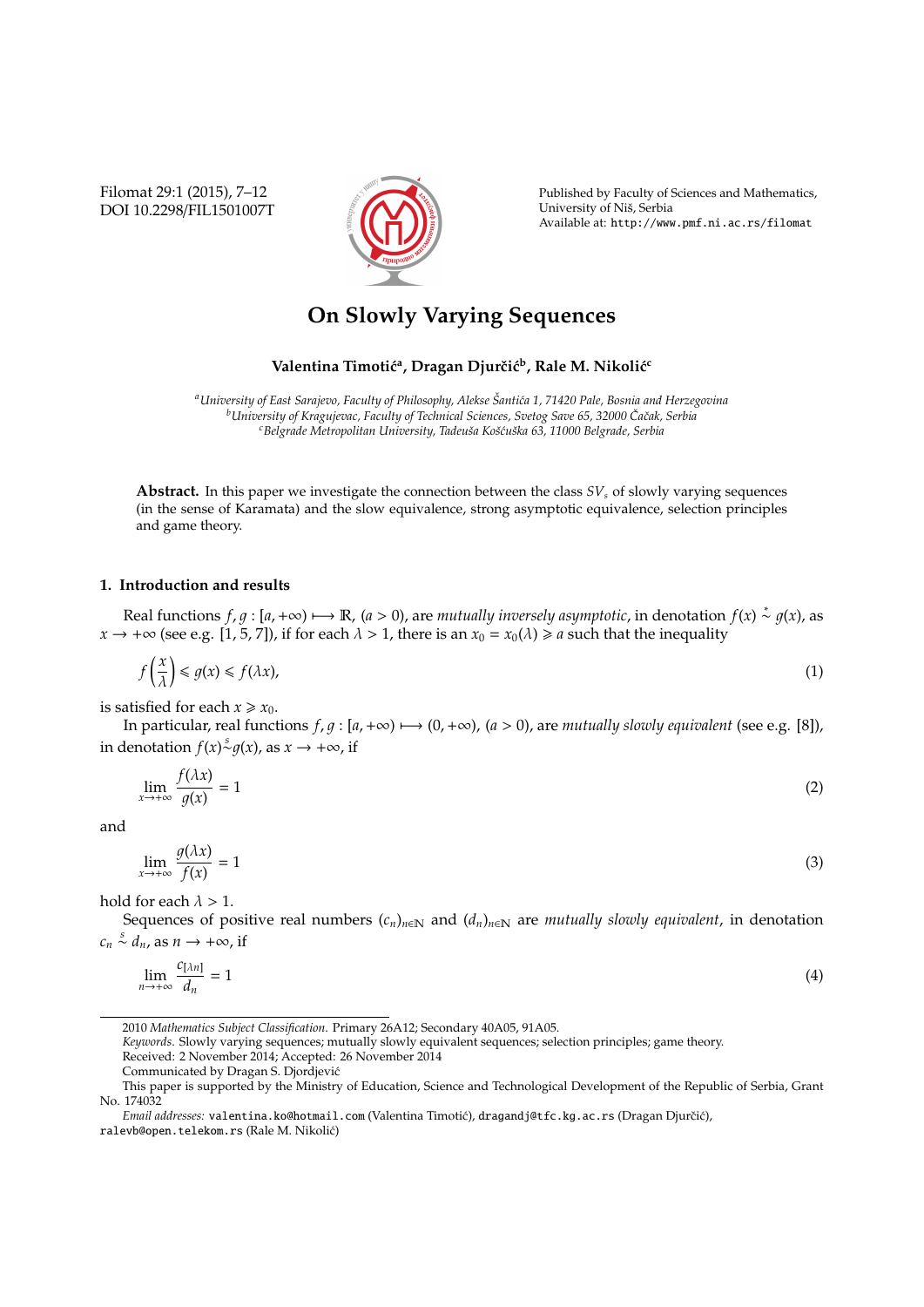Filomat 29:1 (2015), 7–12 DOI 10.2298/FIL1501007T



Published by Faculty of Sciences and Mathematics, University of Niš, Serbia Available at: http://www.pmf.ni.ac.rs/filomat

# **On Slowly Varying Sequences**

## $\mathbf{V}$ alentina Timotić<sup>a</sup>, Dragan Djurčić $\mathbf{b}$ , Rale M. Nikolić $\mathbf{c}$

*<sup>a</sup>University of East Sarajevo, Faculty of Philosophy, Alekse Santi´ca 1, 71420 Pale, Bosnia and Herzegovina ˇ <sup>b</sup>University of Kragujevac, Faculty of Technical Sciences, Svetog Save 65, 32000 Caˇcak, Serbia ˇ <sup>c</sup>Belgrade Metropolitan University, Tadeuˇsa Koˇs´cuˇska 63, 11000 Belgrade, Serbia*

**Abstract.** In this paper we investigate the connection between the class *SV<sup>s</sup>* of slowly varying sequences (in the sense of Karamata) and the slow equivalence, strong asymptotic equivalence, selection principles and game theory.

## **1. Introduction and results**

Real functions  $f, g : [a, +\infty) \mapsto \mathbb{R}$ ,  $(a > 0)$ , are *mutually inversely asymptotic*, in denotation  $f(x) \stackrel{*}{\sim} g(x)$ , as  $x \to +\infty$  (see e.g. [1, 5, 7]), if for each  $\lambda > 1$ , there is an  $x_0 = x_0(\lambda) \ge a$  such that the inequality

$$
f\left(\frac{x}{\lambda}\right) \le g(x) \le f(\lambda x),\tag{1}
$$

is satisfied for each  $x \ge x_0$ .

In particular, real functions  $f, q : [a, +\infty) \mapsto (0, +\infty)$ ,  $(a > 0)$ , are *mutually slowly equivalent* (see e.g. [8]), in denotation *f*(*x*) $\stackrel{s}{\sim}$ *g*(*x*), as *x* → +∞, if

$$
\lim_{x \to +\infty} \frac{f(\lambda x)}{g(x)} = 1
$$
\n(2)

and

lim*x*→+<sup>∞</sup>  $g(\lambda x)$ *f*(*x*)  $= 1$  (3)

hold for each  $\lambda > 1$ .

Sequences of positive real numbers  $(c_n)_{n\in\mathbb{N}}$  and  $(d_n)_{n\in\mathbb{N}}$  are *mutually slowly equivalent*, in denotation  $c_n \stackrel{s}{\sim} d_n$ , as  $n \to +\infty$ , if

$$
\lim_{n \to +\infty} \frac{c_{[\lambda n]}}{d_n} = 1 \tag{4}
$$

*Keywords*. Slowly varying sequences; mutually slowly equivalent sequences; selection principles; game theory.

Received: 2 November 2014; Accepted: 26 November 2014

<sup>2010</sup> *Mathematics Subject Classification*. Primary 26A12; Secondary 40A05, 91A05.

Communicated by Dragan S. Djordjevic´

This paper is supported by the Ministry of Education, Science and Technological Development of the Republic of Serbia, Grant No. 174032

*Email addresses:* valentina.ko@hotmail.com (Valentina Timotić), dragandj@tfc.kg.ac.rs (Dragan Djurčić), ralevb@open.telekom.rs (Rale M. Nikolic)´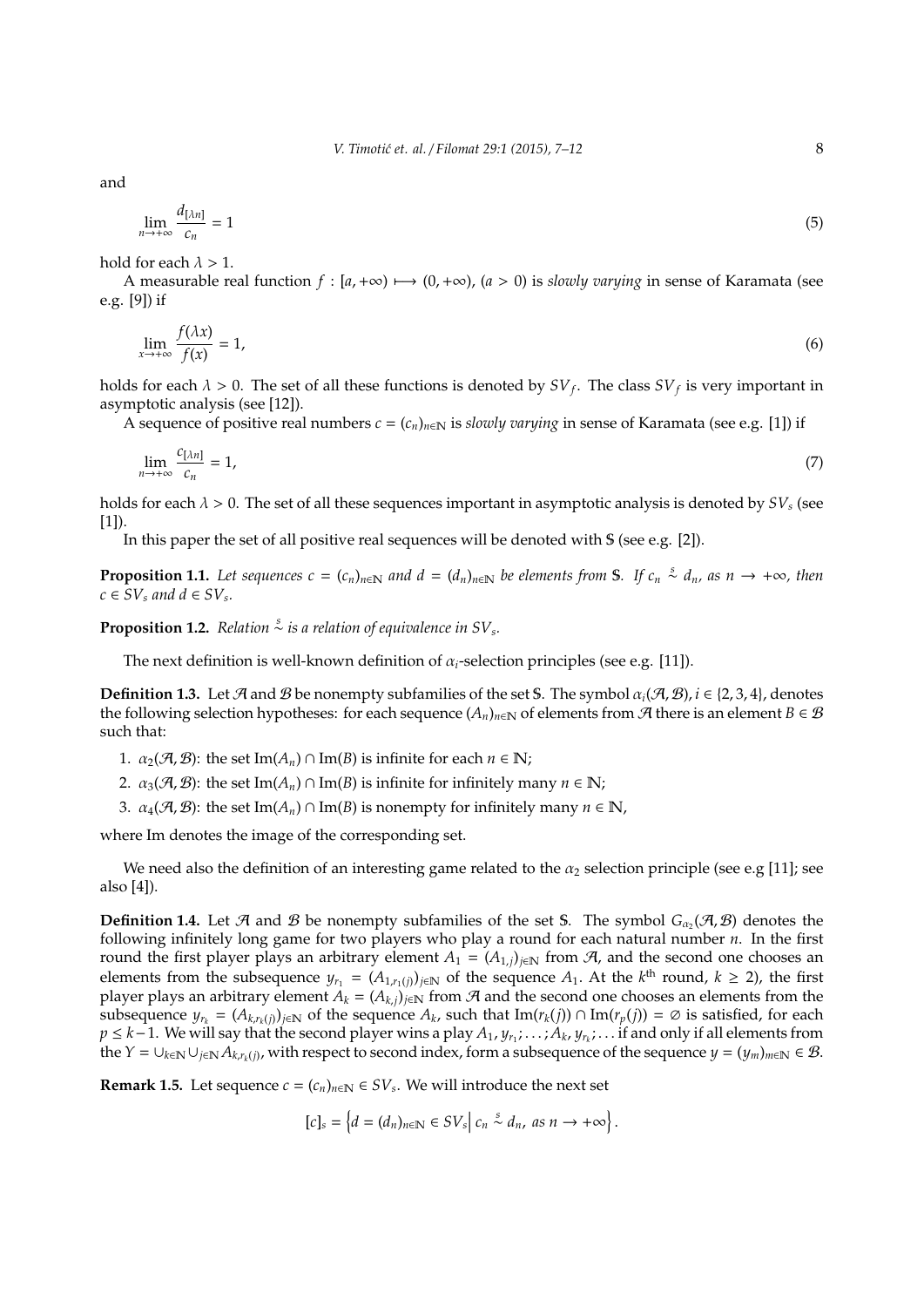and

$$
\lim_{n \to +\infty} \frac{d_{[\lambda n]}}{c_n} = 1 \tag{5}
$$

hold for each  $\lambda > 1$ .

A measurable real function  $f : [a, +\infty) \mapsto (0, +\infty)$ ,  $(a > 0)$  is *slowly varying* in sense of Karamata (see e.g. [9]) if

$$
\lim_{x \to +\infty} \frac{f(\lambda x)}{f(x)} = 1,\tag{6}
$$

holds for each  $\lambda > 0$ . The set of all these functions is denoted by  $SV_f$ . The class  $SV_f$  is very important in asymptotic analysis (see [12]).

A sequence of positive real numbers  $c = (c_n)_{n \in \mathbb{N}}$  is *slowly varying* in sense of Karamata (see e.g. [1]) if

$$
\lim_{n \to +\infty} \frac{c_{[\lambda n]}}{c_n} = 1,\tag{7}
$$

holds for each  $\lambda > 0$ . The set of all these sequences important in asymptotic analysis is denoted by  $SV_s$  (see  $[1]$ ).

In this paper the set of all positive real sequences will be denoted with S (see e.g. [2]).

**Proposition 1.1.** Let sequences  $c = (c_n)_{n \in \mathbb{N}}$  and  $d = (d_n)_{n \in \mathbb{N}}$  be elements from S. If  $c_n \stackrel{s}{\sim} d_n$ , as  $n \to +\infty$ , then  $c \in SV_s$  and  $d \in SV_s$ .

**Proposition 1.2.** Relation  $\stackrel{\circ}{\sim}$  is a relation of equivalence in SV<sub>s</sub>.

The next definition is well-known definition of  $\alpha_i$ -selection principles (see e.g. [11]).

**Definition 1.3.** Let A and B be nonempty subfamilies of the set S. The symbol  $\alpha_i(\mathcal{A}, \mathcal{B})$ ,  $i \in \{2, 3, 4\}$ , denotes the following selection hypotheses: for each sequence  $(A_n)_{n\in\mathbb{N}}$  of elements from  $\mathcal A$  there is an element  $B\in\mathcal B$ such that:

1.  $\alpha_2(\mathcal{A}, \mathcal{B})$ : the set Im( $A_n$ ) ∩ Im(B) is infinite for each  $n \in \mathbb{N}$ ;

2.  $\alpha_3(\mathcal{A}, \mathcal{B})$ : the set Im( $A_n$ ) ∩ Im( $B$ ) is infinite for infinitely many  $n \in \mathbb{N}$ ;

3.  $\alpha_4(\mathcal{A}, \mathcal{B})$ : the set Im( $A_n$ ) ∩ Im(B) is nonempty for infinitely many  $n \in \mathbb{N}$ ,

where Im denotes the image of the corresponding set.

We need also the definition of an interesting game related to the  $\alpha_2$  selection principle (see e.g [11]; see also [4]).

**Definition 1.4.** Let  $\mathcal A$  and  $\mathcal B$  be nonempty subfamilies of the set S. The symbol  $G_{\alpha_2}(\mathcal A,\mathcal B)$  denotes the following infinitely long game for two players who play a round for each natural number *n*. In the first round the first player plays an arbitrary element  $A_1 = (A_{1,j})_{j \in \mathbb{N}}$  from  $A$ , and the second one chooses an elements from the subsequence  $y_{r_1} = (A_{1,r_1(j)})_{j \in \mathbb{N}}$  of the sequence  $A_1$ . At the  $k^{\text{th}}$  round,  $k \geq 2$ ), the first player plays an arbitrary element  $A_k = (A_{k,i})_{i \in \mathbb{N}}$  from  $A$  and the second one chooses an elements from the subsequence  $y_{r_k} = (A_{k,r_k(j)})_{j \in \mathbb{N}}$  of the sequence  $A_k$ , such that  $\text{Im}(r_k(j)) \cap \text{Im}(r_p(j)) = \emptyset$  is satisfied, for each *p* ≤ *k*−1. We will say that the second player wins a play  $A_1, y_{r_1}; \ldots; A_k, y_{r_k}; \ldots$  if and only if all elements from  $\vec{A}$   $\vec{A}$   $\in$   $\cup_{k\in\mathbb{N}}\cup_{j\in\mathbb{N}}\vec{A}_{k,r_k(j)}$ , with respect to second index, form a subsequence of the sequence  $y=(y_m)_{m\in\mathbb{N}}\in\mathcal{B}$ .

**Remark 1.5.** Let sequence  $c = (c_n)_{n \in \mathbb{N}} \in SV_s$ . We will introduce the next set

 $[c]_s = \left\{ d = (d_n)_{n \in \mathbb{N}} \in SV_s \middle| c_n \stackrel{s}{\sim} d_n, \text{ as } n \to +\infty \right\}.$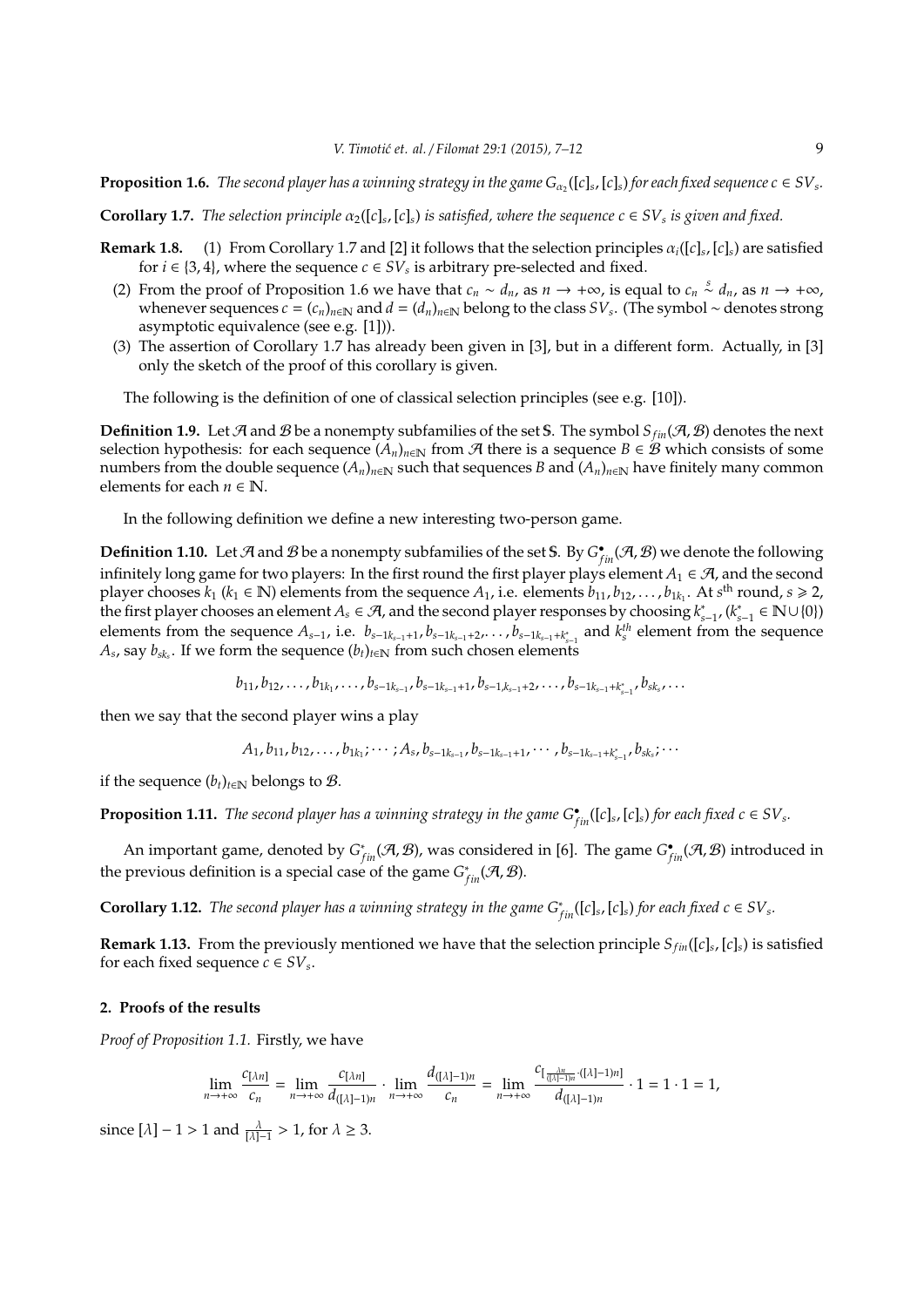**Proposition 1.6.** The second player has a winning strategy in the game  $G_{\alpha_2}([c]_s,[c]_s)$  for each fixed sequence  $c \in SV_s$ .

**Corollary 1.7.** *The selection principle*  $\alpha_2([c]_s, [c]_s)$  *is satisfied, where the sequence*  $c \in SV_s$  *is given and fixed.* 

- **Remark 1.8.** (1) From Corollary 1.7 and [2] it follows that the selection principles  $\alpha_i([c]_s,[c]_s)$  are satisfied for  $i \in \{3, 4\}$ , where the sequence  $c \in SV_s$  is arbitrary pre-selected and fixed.
	- (2) From the proof of Proposition 1.6 we have that  $c_n \sim d_n$ , as  $n \to +\infty$ , is equal to  $c_n \stackrel{s}{\sim} d_n$ , as  $n \to +\infty$ , whenever sequences  $c = (c_n)_{n \in \mathbb{N}}$  and  $d = (d_n)_{n \in \mathbb{N}}$  belong to the class  $SV_s$ . (The symbol ∼ denotes strong asymptotic equivalence (see e.g. [1])).
	- (3) The assertion of Corollary 1.7 has already been given in [3], but in a different form. Actually, in [3] only the sketch of the proof of this corollary is given.

The following is the definition of one of classical selection principles (see e.g. [10]).

**Definition 1.9.** Let A and B be a nonempty subfamilies of the set S. The symbol  $S_{fin}(\mathcal{A}, \mathcal{B})$  denotes the next selection hypothesis: for each sequence  $(A_n)_{n\in\mathbb{N}}$  from  $A$  there is a sequence  $B \in B$  which consists of some numbers from the double sequence  $(A_n)_{n\in\mathbb{N}}$  such that sequences *B* and  $(A_n)_{n\in\mathbb{N}}$  have finitely many common elements for each  $n \in \mathbb{N}$ .

In the following definition we define a new interesting two-person game.

**Definition 1.10.** Let  $\mathcal A$  and  $\mathcal B$  be a nonempty subfamilies of the set S. By  $G^{\bullet}_{fin}(\mathcal A,\mathcal B)$  we denote the following infinitely long game for two players: In the first round the first player plays element  $A_1 \in \mathcal{A}$ , and the second player chooses  $k_1$  ( $k_1 \in \mathbb{N}$ ) elements from the sequence  $A_1$ , i.e. elements  $b_{11}, b_{12}, \ldots, b_{1k_1}$ . At  $s^{\text{th}}$  round,  $s \ge 2$ , the first player chooses an element  $A_s \in \mathcal{A}$ , and the second player responses by choosing  $k_{s-1}^*$ ,  $(k_{s-1}^* \in \mathbb{N} \cup \{0\})$ elements from the sequence  $A_{s-1}$ , i.e.  $b_{s-1,k_{s-1}+1}, b_{s-1,k_{s-1}+2}, \ldots, b_{s-1,k_{s-1}+k_{s-1}^*}$  and  $k_s^{th}$  element from the sequence  $A_s$ , say  $b_{sk_s}$ . If we form the sequence  $(b_t)_{t \in \mathbb{N}}$  from such chosen elements

 $b_{11}, b_{12}, \ldots, b_{1k_1}, \ldots, b_{s-1k_{s-1}}, b_{s-1k_{s-1}+1}, b_{s-1,k_{s-1}+2}, \ldots, b_{s-1k_{s-1}+k_{s-1}^*}, b_{sk_s}, \ldots$ 

then we say that the second player wins a play

 $A_1, b_{11}, b_{12}, \ldots, b_{1k_1}; \cdots; A_s, b_{s-1k_{s-1}}, b_{s-1k_{s-1}+1}, \cdots, b_{s-1k_{s-1}+k_{s-1}^*}, b_{sk_s}; \cdots$ 

if the sequence  $(b_t)_{t \in \mathbb{N}}$  belongs to  $\mathcal{B}$ .

**Proposition 1.11.** The second player has a winning strategy in the game  $G_{fin}^{\bullet}([c]_s,[c]_s)$  for each fixed  $c \in SV_s$ .

An important game, denoted by  $G^*_{fin}(\mathcal{A}, \mathcal{B})$ , was considered in [6]. The game  $G^{\bullet}_{fin}(\mathcal{A}, \mathcal{B})$  introduced in the previous definition is a special case of the game  $G^*_{fin}(\mathcal{A}, \mathcal{B})$ .

**Corollary 1.12.** The second player has a winning strategy in the game  $G^*_{fin}([c]_s,[c]_s)$  for each fixed  $c \in SV_s$ .

**Remark 1.13.** From the previously mentioned we have that the selection principle *Sfin*([*c*]*<sup>s</sup>* , [*c*]*s*) is satisfied for each fixed sequence  $c \in SV_s$ .

### **2. Proofs of the results**

*Proof of Proposition 1.1.* Firstly, we have

$$
\lim_{n\to+\infty}\frac{c_{[\lambda n]}}{c_n}=\lim_{n\to+\infty}\frac{c_{[\lambda n]}}{d_{([\lambda]-1)n}}\cdot\lim_{n\to+\infty}\frac{d_{([\lambda]-1)n}}{c_n}=\lim_{n\to+\infty}\frac{c_{[\frac{\lambda n}{([\lambda]-1)n} \cdot ([\lambda]-1)n]}}{d_{([\lambda]-1)n}}\cdot 1=1\cdot 1=1,
$$

since  $[\lambda] - 1 > 1$  and  $\frac{\lambda}{[\lambda] - 1} > 1$ , for  $\lambda \ge 3$ .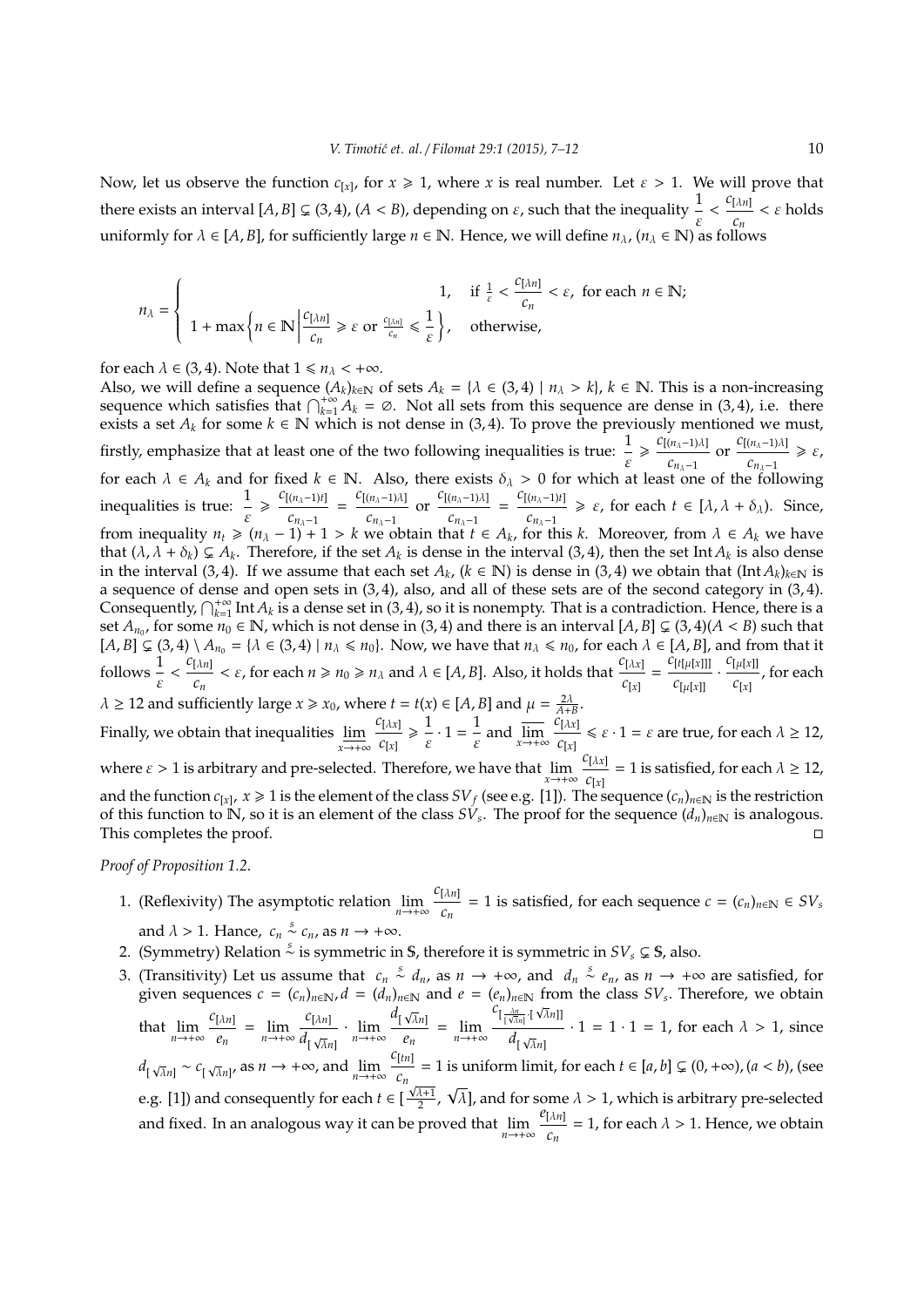Now, let us observe the function  $c_{[x]}$ , for  $x \ge 1$ , where x is real number. Let  $\varepsilon > 1$ . We will prove that there exists an interval  $[A, B] \subsetneq (3, 4)$ ,  $(A < B)$ , depending on  $\varepsilon$ , such that the inequality  $\frac{1}{\varepsilon} < \frac{c_{[\lambda n]}}{c_n}$  $\frac{\mu_{n}}{c_{n}} < \varepsilon$  holds uniformly for  $\lambda \in [A, B]$ , for sufficiently large  $n \in \mathbb{N}$ . Hence, we will define  $n_{\lambda}$ ,  $(n_{\lambda} \in \mathbb{N})$  as follows

$$
n_\lambda = \left\{ \begin{array}{cl} 1, & \mbox{if $\frac{1}{\varepsilon} < \frac{C[\lambda n]}{c_n} < \varepsilon$, for each $n \in \mathbb{N}$;} \\ 1 + \max \left\{ n \in \mathbb{N} \, \middle| \, \frac{C[\lambda n]}{c_n} \geq \varepsilon \text{ or } \frac{c_{[\lambda n]}}{c_n} \leq \frac{1}{\varepsilon} \right\}, & \mbox{otherwise,} \end{array} \right.
$$

for each  $\lambda \in (3, 4)$ . Note that  $1 \le n_\lambda < +\infty$ .

Also, we will define a sequence  $(A_k)_{k\in\mathbb{N}}$  of sets  $A_k = \{\lambda \in (3,4) \mid n_\lambda > k\}$ ,  $k \in \mathbb{N}$ . This is a non-increasing sequence which satisfies that  $\bigcap_{k=1}^{+\infty} A_k = \emptyset$ . Not all sets from this sequence are dense in (3, 4), i.e. there exists a set  $A_k$  for some  $k \in \mathbb{N}$  which is not dense in (3,4). To prove the previously mentioned we must, firstly, emphasize that at least one of the two following inequalities is true:  $\frac{1}{\varepsilon}$  $\geqslant \frac{c_{[(n_λ-1)λ]}}{n_λ}$  $\frac{(n_{\lambda}-1)\lambda}{c_{n_{\lambda}-1}}$  or  $\frac{c_{[(n_{\lambda}-1)\lambda]}}{c_{n_{\lambda}-1}}$  $\frac{(n_{\lambda}-1) \lambda}{c_{n_{\lambda}-1}} \geq \varepsilon,$ for each  $\lambda \in A_k$  and for fixed  $k \in \mathbb{N}$ . Also, there exists  $\delta_\lambda > 0$  for which at least one of the following inequalities is true:  $\frac{1}{\varepsilon}$  $\geq \frac{C[(n_{\lambda}-1)t]}{2}$  $\frac{c_{n_{\lambda}-1}}{c_{n_{\lambda}-1}} = \frac{c_{[(n_{\lambda}-1)\lambda]}}{c_{n_{\lambda}-1}}$  $\frac{(n_{\lambda}-1)\lambda}{c_{n_{\lambda}-1}}$  or  $\frac{c_{[(n_{\lambda}-1)\lambda]}}{c_{n_{\lambda}-1}}$  $\frac{(n_{\lambda}-1)\lambda}{c_{n_{\lambda}-1}} = \frac{c_{[(n_{\lambda}-1)t]}}{c_{n_{\lambda}-1}}$ *c*<sub>*n*<sub>λ</sub>−1</sub>  $\geq \varepsilon$ , for each *t* ∈ [ $\lambda$ ,  $\lambda$  +  $\delta$ <sub>λ</sub>). Since, from inequality  $n_t \geq (n_\lambda - 1) + 1 > k$  we obtain that  $t \in A_k$ , for this k. Moreover, from  $\lambda \in A_k$  we have that  $(\lambda, \lambda + \delta_k) \subsetneq A_k$ . Therefore, if the set  $A_k$  is dense in the interval (3, 4), then the set Int  $A_k$  is also dense in the interval (3, 4). If we assume that each set  $A_k$ , ( $k \in \mathbb{N}$ ) is dense in (3, 4) we obtain that (Int  $A_k$ )<sub> $k \in \mathbb{N}$ </sub> is a sequence of dense and open sets in (3, 4), also, and all of these sets are of the second category in (3, 4). Consequently,  $\bigcap_{k=1}^{+\infty}$  Int  $A_k$  is a dense set in (3, 4), so it is nonempty. That is a contradiction. Hence, there is a set  $A_{n_0}$ , for some  $n_0 \in \mathbb{N}$ , which is not dense in (3, 4) and there is an interval  $[A, B] \subsetneq (3, 4)(A < B)$  such that  $[A, B] \subsetneq (3, 4) \setminus A_{n_0} = \{ \lambda \in (3, 4) \mid n_\lambda \leq n_0 \}$ . Now, we have that  $n_\lambda \leq n_0$ , for each  $\lambda \in [A, B]$ , and from that it follows  $\frac{1}{\varepsilon} < \frac{c_{[\lambda n]}}{c_n}$ *c*<sub>*n*</sub></sub>  $\lt$  *ε*, for each  $n \ge n_0 \ge n_\lambda$  and  $\lambda \in [A, B]$ . Also, it holds that  $\frac{c_{[\lambda x]}}{c_{[x]}}$  $\frac{C[\lambda x]}{C[x]} = \frac{C[t[\mu[x]]]}{C[\mu[x]]}$  $c$ [ $\mu$ [ $x$ ]] .  $\frac{C[\mu[x]]}{\sigma}$  $\frac{c_{[x]}}{c_{[x]}}$ , for each  $\lambda \ge 12$  and sufficiently large  $x \ge x_0$ , where  $t = t(x) \in [A, B]$  and  $\mu = \frac{2\lambda}{A+B}$ . Finally, we obtain that inequalities  $\varliminf$ *x*→+∞ *c*[λ*x*] *c*[*x*]  $\geqslant$   $\frac{1}{1}$  $\frac{1}{\varepsilon} \cdot 1 = \frac{1}{\varepsilon}$  $\frac{1}{\varepsilon}$  and  $\overline{\lim}_{x \to +\infty} \frac{c_{[\lambda x]}}{c_{[x]}}$  $\frac{f[\lambda x]}{c[x]} \leq \varepsilon \cdot 1 = \varepsilon$  are true, for each  $\lambda \geq 12$ , where  $\varepsilon > 1$  is arbitrary and pre-selected. Therefore, we have that  $\lim_{x \to +\infty} \frac{c_{[\lambda x]}}{c_{[\gamma]}}$  $\frac{c_{\lbrack \lambda x\rbrack}}{c_{\lbrack x\rbrack}}$  = 1 is satisfied, for each  $\lambda \geq 12$ ,

and the function  $c_{[x]}$ ,  $x \ge 1$  is the element of the class  $SV_f$  (see e.g. [1]). The sequence  $(c_n)_{n\in\mathbb{N}}$  is the restriction of this function to N, so it is an element of the class  $S\dot{V}_s$ . The proof for the sequence  $(d_n)_{n\in\mathbb{N}}$  is analogous. This completes the proof.

*Proof of Proposition 1.2*.

- 1. (Reflexivity) The asymptotic relation  $\lim_{n \to +\infty} \frac{c_{[\lambda n]}}{c_n}$  $\frac{|\lambda^n|}{c_n}$  = 1 is satisfied, for each sequence *c* =  $(c_n)_{n \in \mathbb{N}}$  ∈ *SV*<sup>*s*</sup> and  $\lambda > 1$ . Hance,  $c_n \stackrel{s}{\sim} c_n$ , as  $n \to +\infty$ .
- 2. (Symmetry) Relation  $\stackrel{s}{\sim}$  is symmetric in **S**, therefore it is symmetric in *SV*<sup>*s*</sup> ⊊ **S**, also.
- 3. (Transitivity) Let us assume that  $c_n \stackrel{s}{\sim} d_n$ , as  $n \to +\infty$ , and  $d_n \stackrel{s}{\sim} e_n$ , as  $n \to +\infty$  are satisfied, for given sequences  $c = (c_n)_{n \in \mathbb{N}}, d = (d_n)_{n \in \mathbb{N}}$  and  $e = (e_n)_{n \in \mathbb{N}}$  from the class  $SV_s$ . Therefore, we obtain that  $\lim_{n \to +\infty} \frac{c_{\lceil \lambda n \rceil}}{e_n}$  $\frac{[\lambda n]}{e_n} = \lim_{n \to +\infty} \frac{c_{[\lambda n]}}{d_{\vert \sqrt{\lambda} n}}$  $\frac{c_{[\lambda n]}}{d_{[\sqrt{\lambda}n]}} \cdot \lim_{n \to +\infty} \frac{d_{[\sqrt{\lambda}n]}}{e_n}$  $\frac{\sqrt{n}n}{e_n}$  =  $\lim_{n \to +\infty}$  $c_{\left[\frac{\lambda n}{\sqrt{\lambda}n\right]}\cdot\left[\sqrt{\lambda}n\right]}$  $\overline{d}$ <sub>[ $\sqrt{\lambda}$ *n*]</sub>  $\cdot$  1 = 1  $\cdot$  1 = 1, for each  $\lambda$  > 1, since  $d_{\left[\sqrt{\lambda}n\right]}$  ∼  $c_{\left[\sqrt{\lambda}n\right]}$  $\sqrt{\lambda}n$ <sup>*l*</sup> as  $n \to +\infty$ , and  $\lim_{n \to +\infty} \frac{c_{[tn]}}{c_n}$ *c*<sup>*n*</sup> = 1 is uniform limit, for each *t* ∈ [*a*, *b*] ⊊ (0, +∞), (*a* < *b*), (see e.g. [1]) and consequently for each  $t \in [\frac{\sqrt{\lambda+1}}{2}, \sqrt{\lambda}]$ , and for some  $\lambda > 1$ , which is arbitrary pre-selected and fixed. In an analogous way it can be proved that  $\lim_{n \to +\infty} \frac{e_{[\lambda n]}}{c_n}$  $\frac{\partial u_{1}}{\partial n}$  = 1, for each  $\lambda > 1$ . Hence, we obtain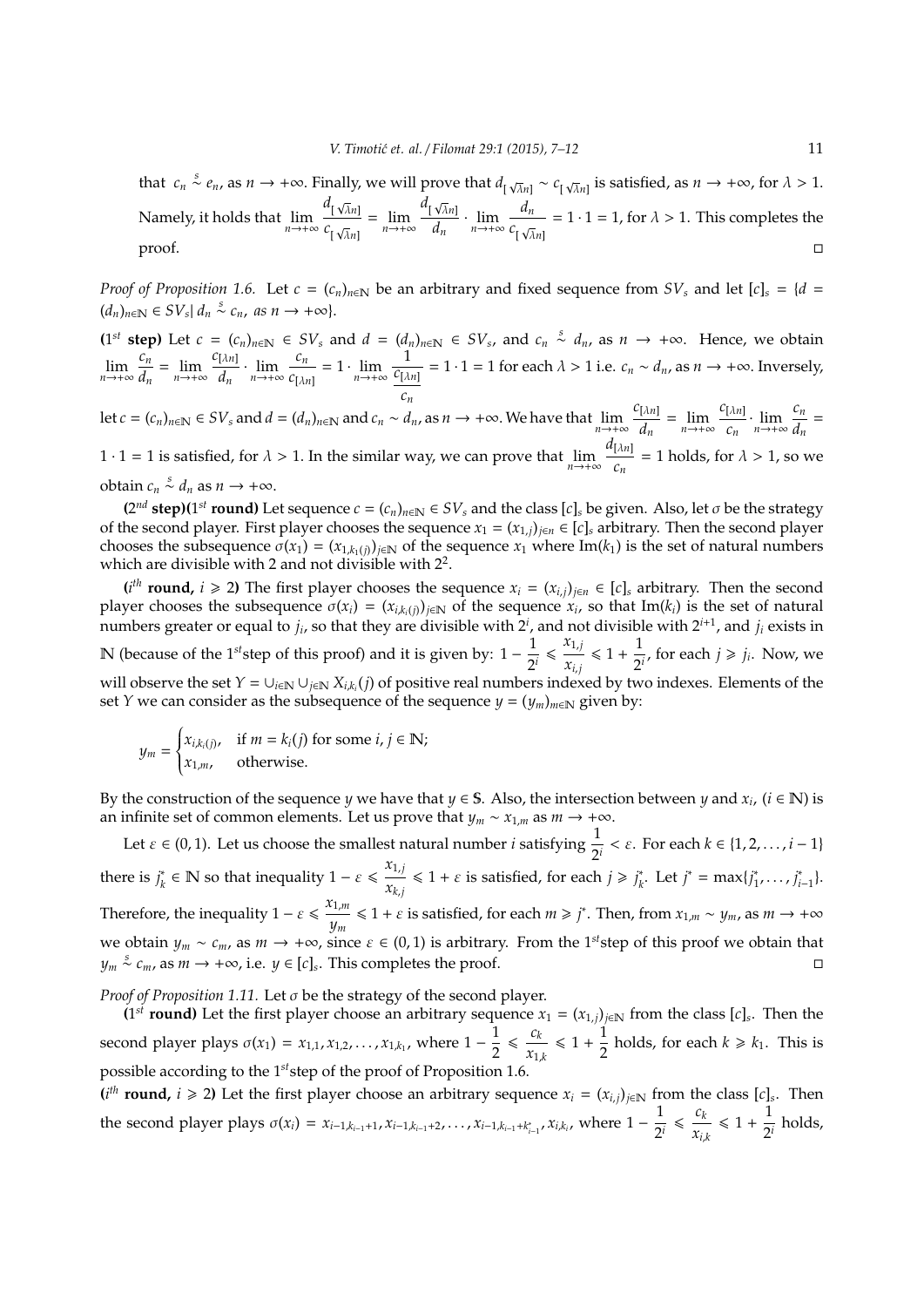that  $c_n \stackrel{s}{\sim} e_n$ , as  $n \to +\infty$ . Finally, we will prove that  $d_{\lceil \sqrt{\lambda}n \rceil} \sim c_{\lceil \sqrt{\lambda}n \rceil}$  $\sqrt{\lambda}n$  is satisfied, as  $n \to +\infty$ , for  $\lambda > 1$ . Namely, it holds that lim*n*→+<sup>∞</sup>  $d_{\left[\sqrt{\lambda}n\right]}$ *c* [  $\frac{\sqrt{n}n}{\sqrt{\lambda}n}$  =  $\lim_{n \to +\infty}$  $d_{\left[\sqrt{\lambda}n\right]}$  $\frac{\sqrt{\lambda}n}{d_n} \cdot \lim_{n \to +\infty} \frac{d_n}{c_1 \sqrt{\lambda}}$ *c* [ √ λ*n*]  $= 1 \cdot 1 = 1$ , for  $\lambda > 1$ . This completes the  $\Box$ proof.

*Proof of Proposition 1.6.* Let  $c = (c_n)_{n \in \mathbb{N}}$  be an arbitrary and fixed sequence from  $SV_s$  and let  $[c]_s = \{d = c\}$  $(d_n)_{n \in \mathbb{N}} \in SV_s \mid d_n \stackrel{s}{\sim} c_n$ , as  $n \to +\infty$ .

 $(1^{st} \text{ step})$  Let  $c = (c_n)_{n \in \mathbb{N}} \in SV_s$  and  $d = (d_n)_{n \in \mathbb{N}} \in SV_s$ , and  $c_n \stackrel{s}{\sim} d_n$ , as  $n \to +\infty$ . Hence, we obtain  $\lim_{n\to+\infty}\frac{c_n}{d_n}$  $\frac{c_n}{d_n} = \lim_{n \to +\infty} \frac{c_{[\lambda n]}}{d_n}$  $\frac{[\lambda n]}{d_n} \cdot \lim_{n \to +\infty} \frac{c_n}{c_{\lambda n}}$  $\frac{c_n}{c_{[\lambda n]}} = 1 \cdot \lim_{n \to +\infty} \frac{1}{\frac{c_{[\lambda]}}{n}}$  $\frac{1}{c_{[\lambda n]}}$  = 1 · 1 = 1 for each  $\lambda > 1$  i.e.  $c_n \sim d_n$ , as  $n \to +\infty$ . Inversely, *cn*

let  $c = (c_n)_{n \in \mathbb{N}} \in SV_s$  and  $d = (d_n)_{n \in \mathbb{N}}$  and  $c_n \sim d_n$ , as  $n \to +\infty$ . We have that  $\lim_{n \to +\infty} \frac{c_{[\lambda n]}}{d_n}$  $\frac{d}{dx}$ <sup>[ $\lambda n$ ]</sup>
=  $\lim_{n \to +\infty} \frac{c_{[\lambda n]}}{c_n}$  $\frac{[\lambda n]}{c_n} \cdot \lim_{n \to +\infty} \frac{c_n}{d_n}$  $\frac{a_n}{d_n}$  $1 \cdot 1 = 1$  is satisfied, for  $\lambda > 1$ . In the similar way, we can prove that  $\lim_{n \to +\infty} \frac{d_{[\lambda n]}}{c_n}$  $\frac{\nu m_1}{c_n}$  = 1 holds, for  $\lambda > 1$ , so we

obtain  $c_n \stackrel{s}{\sim} d_n$  as  $n \to +\infty$ .

 $(2^{nd}$  **step**)(1<sup>st</sup> **round**) Let sequence  $c = (c_n)_{n \in \mathbb{N}} \in SV_s$  and the class  $[c]_s$  be given. Also, let  $\sigma$  be the strategy of the second player. First player chooses the sequence  $x_1 = (x_{1,j})_{j \in n} \in [c]_s$  arbitrary. Then the second player chooses the subsequence  $\sigma(x_1) = (x_{1,k_1(i)})_{i \in \mathbb{N}}$  of the sequence  $x_1$  where Im( $k_1$ ) is the set of natural numbers which are divisible with 2 and not divisible with  $2^2$ .

 $(i<sup>th</sup>$  **round,** *i* ≥ 2) The first player chooses the sequence  $x_i = (x_{i,j})_{j \in n}$  ∈ [*c*]<sub>*s*</sub> arbitrary. Then the second player chooses the subsequence  $\sigma(x_i) = (x_{i,k_i(j)})_{j \in \mathbb{N}}$  of the sequence  $x_i$ , so that Im( $k_i$ ) is the set of natural numbers greater or equal to  $j_i$ , so that they are divisible with  $2^i$ , and not divisible with  $2^{i+1}$ , and  $j_i$  exists in N (because of the 1<sup>*st*</sup>step of this proof) and it is given by: 1 −  $\frac{1}{2}$  $\frac{1}{2^i} \leq \frac{x_{1,j}}{x_{i,j}}$  $\frac{x_{1,j}}{x_{i,j}} \le 1 + \frac{1}{2}$  $\frac{1}{2^i}$ , for each  $j \ge j_i$ . Now, we will observe the set  $Y = \cup_{i\in\mathbb{N}}\cup_{j\in\mathbb{N}}X_{i,k_i}(j)$  of positive real numbers indexed by two indexes. Elements of the set *Y* we can consider as the subsequence of the sequence  $y = (y_m)_{m \in \mathbb{N}}$  given by:

$$
y_m = \begin{cases} x_{i,k_i(j)}, & \text{if } m = k_i(j) \text{ for some } i, j \in \mathbb{N}; \\ x_{1,m}, & \text{otherwise.} \end{cases}
$$

By the construction of the sequence *y* we have that  $y \in S$ . Also, the intersection between *y* and  $x_i$ ,  $(i \in \mathbb{N})$  is an infinite set of common elements. Let us prove that  $y_m \sim x_{1,m}$  as  $m \to +\infty$ .

Let  $\varepsilon \in (0, 1)$ . Let us choose the smallest natural number *i* satisfying  $\frac{1}{2^i} < \varepsilon$ . For each  $k \in \{1, 2, ..., i - 1\}$ there is  $j_k^*$  $\alpha_k^*$  ∈ **N** so that inequality 1 −  $\varepsilon \leq \frac{x_{1,j}}{x_{k,j}}$  $\frac{x_{1,j}}{x_{k,j}} \leq 1 + \varepsilon$  is satisfied, for each  $j \geq j_k^*$  $k^*$ . Let  $j^* = \max\{j^*_{1j}\}$  $j^*_{1}, \ldots, j^*_{i-1}$  }. Therefore, the inequality  $1 - \varepsilon \leq \frac{x_{1,m}}{n}$  $y_m$   $\leq 1 + \varepsilon$  is satisfied, for each  $m \geq j^*$ . Then, from  $x_{1,m} \sim y_m$ , as  $m \to +\infty$ we obtain  $y_m \sim c_m$ , as  $m \to +\infty$ , since  $\varepsilon \in (0,1)$  is arbitrary. From the 1<sup>st</sup>step of this proof we obtain that *y*<sup>*m*</sup>  $\stackrel{s}{\sim}$  *c*<sub>*m*</sub>, as *m* → +∞, i.e. *y* ∈ [*c*]*s*. This completes the proof.

*Proof of Proposition 1.11.* Let σ be the strategy of the second player.

(1<sup>st</sup> **round**) Let the first player choose an arbitrary sequence  $x_1 = (x_{1,j})_{j \in \mathbb{N}}$  from the class  $[c]_s$ . Then the second player plays  $\sigma(x_1) = x_{1,1}, x_{1,2}, \ldots, x_{1,k_1}$ , where  $1 - \frac{1}{2}$ 2  $\leqslant \frac{c_k}{\sqrt{c_k}}$  $\frac{c_k}{x_{1,k}} \leq 1 + \frac{1}{2}$  $\frac{1}{2}$  holds, for each  $k \ge k_1$ . This is possible according to the 1*st*step of the proof of Proposition 1.6.

 $(i<sup>th</sup>$  **round,** *i* ≥ 2) Let the first player choose an arbitrary sequence  $x_i = (x_{i,j})_{j \in \mathbb{N}}$  from the class  $[c]_s$ . Then the second player plays  $\sigma(x_i) = x_{i-1,k_{i-1}+1}, x_{i-1,k_{i-1}+2}, \ldots, x_{i-1,k_{i-1}+k_{i-1}^*,} x_{i,k_i}$ , where  $1 - \frac{1}{2^n}$  $\frac{1}{2^i} \leq \frac{c_k}{x_{i_k}}$  $\frac{c_k}{x_{i,k}} \leq 1 + \frac{1}{2^i}$  $\frac{1}{2^i}$  holds,